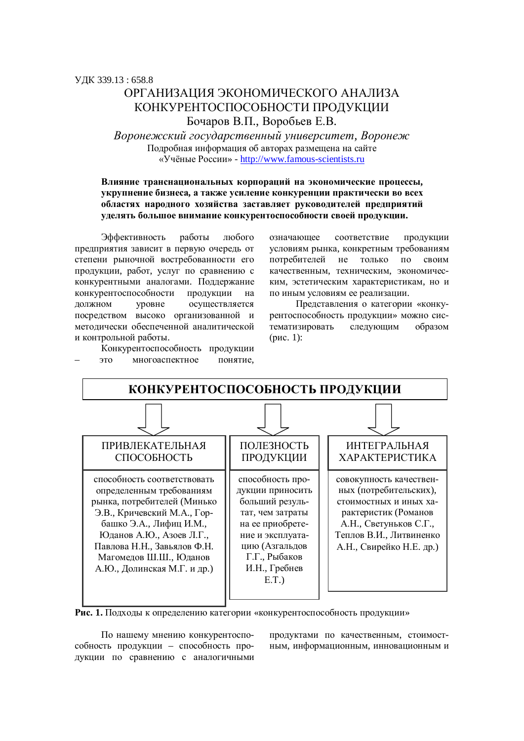# ОРГАНИЗАЦИЯ ЭКОНОМИЧЕСКОГО АНАЛИЗА КОНКУРЕНТОСПОСОБНОСТИ ПРОДУКЦИИ Бочаров В.П., Воробьев Е.В.

 $B$ оронежский государственный университет, Воронеж Подробная информация об авторах размещена на сайте «Учёные России» - http://www.famous-scientists.ru

### Влияние транснациональных корпораций на экономические процессы, укрупнение бизнеса, а также усиление конкуренции практически во всех **областях народного хозяйства заставляет руководителей предприятий** уделять большое внимание конкурентоспособности своей продукции.

Эффективность работы любого предприятия зависит в первую очередь от степени рыночной востребованности его продукции, работ, услуг по сравнению с конкурентными аналогами. Поддержание конкурентоспособности продукции на должном уровне осуществляется посредством высоко организованной и метолически обеспеченной аналитической и контрольной работы.

Конкурентоспособность продукции это многоаспектное понятие,

означающее соответствие продукции условиям рынка, конкретным требованиям потребителей не только по своим качественным, техническим, экономическим, эстетическим характеристикам, но и по иным условиям ее реализации.

Представления о категории «конкурентоспособность продукции» можно систематизировать следующим образом  $(pnc. 1)$ :



Рис. 1. Подходы к определению категории «конкурентоспособность продукции»

По нашему мнению конкурентоспособность продукции – способность продукции по сравнению с аналогичными продуктами по качественным, стоимостным, информационным, инновационным и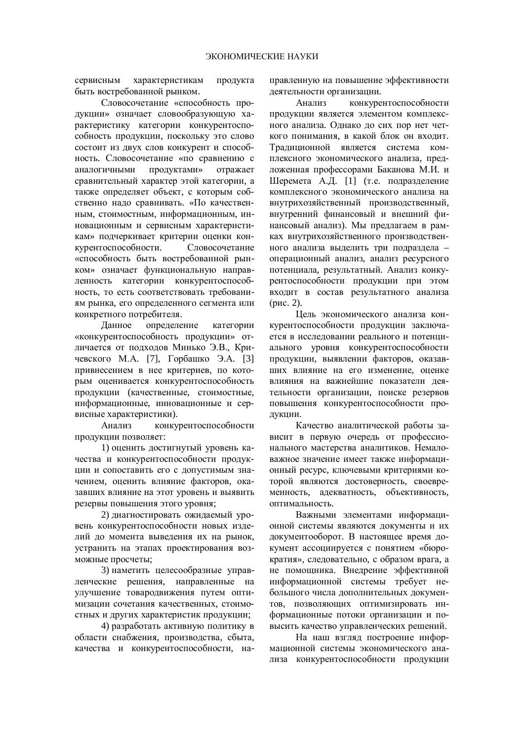сервисным характеристикам продукта быть востребованной рынком.

Словосочетание «способность продукции» означает словообразующую характеристику категории конкурентоспособность продукции, поскольку это слово состоит из двух слов конкурент и способность. Словосочетание «по сравнению с аналогичными продуктами» отражает сравнительный характер этой категории, а также определяет объект, с которым собственно надо сравнивать. «По качественным, стоимостным, информационным, инновационным и сервисным характеристикам» подчеркивает критерии оценки конкурентоспособности. Словосочетание «способность быть востребованной рынком» означает функциональную направленность категории конкурентоспособность, то есть соответствовать требованиям рынка, его определенного сегмента или конкретного потребителя.

Данное определение категории «конкурентоспособность продукции» отличается от подходов Минько Э.В., Кричевского М.А. [7], Горбашко Э.А. [3] привнесением в нее критериев, по которым оценивается конкурентоспособность продукции (качественные, стоимостные, информационные, инновационные и сервисные характеристики).

Анализ конкурентоспособности продукции позволяет:

1) оценить достигнутый уровень качества и конкурентоспособности продукции и сопоставить его с допустимым значением, оценить влияние факторов, оказавших влияние на этот уровень и выявить резервы повышения этого уровня;

2) диагностировать ожидаемый уровень конкурентоспособности новых изделий до момента выведения их на рынок, устранить на этапах проектирования возможные просчеты;

3) наметить целесообразные управленческие решения, направленные на үлүчшение товародвижения путем оптимизации сочетания качественных, стоимостных и других характеристик продукции:

4) разработать активную политику в области снабжения, производства, сбыта, качества и конкурентоспособности, направленную на повышение эффективности деятельности организации.

Анализ конкурентоспособности продукции является элементом комплексного анализа. Однако до сих пор нет четкого понимания, в какой блок он вхолит. Традиционной является система комплексного экономического анализа, предложенная профессорами Баканова М.И. и Шеремета А.Д. [1] (т.е. подразделение комплексного экономического анализа на внутрихозяйственный производственный, внутренний финансовый и внешний финансовый анализ). Мы предлагаем в рамках внутрихозяйственного производственного анализа выделить три подраздела операционный анализ, анализ ресурсного потенциала, результатный. Анализ конкурентоспособности продукции при этом входит в состав результатного анализа  $(pnc. 2)$ .

Иель экономического анализа конкурентоспособности продукции заключается в исследовании реального и потенциального уровня конкурентоспособности продукции, выявлении факторов, оказавших влияние на его изменение, оценке влияния на важнейшие показатели деятельности организации, поиске резервов повышения конкурентоспособности продукции.

Качество аналитической работы зависит в первую очередь от профессионального мастерства аналитиков. Немаловажное значение имеет также информационный ресурс, ключевыми критериями которой являются достоверность, своевременность, адекватность, объективность, оптимальность.

Важными элементами информационной системы являются локументы и их документооборот. В настоящее время документ ассоциируется с понятием «бюрократия», следовательно, с образом врага, а не помощника. Внедрение эффективной информационной системы требует небольшого числа дополнительных документов, позволяющих оптимизировать информационные потоки организации и повысить качество управленческих решений.

На наш взглял построение информационной системы экономического анализа конкурентоспособности продукции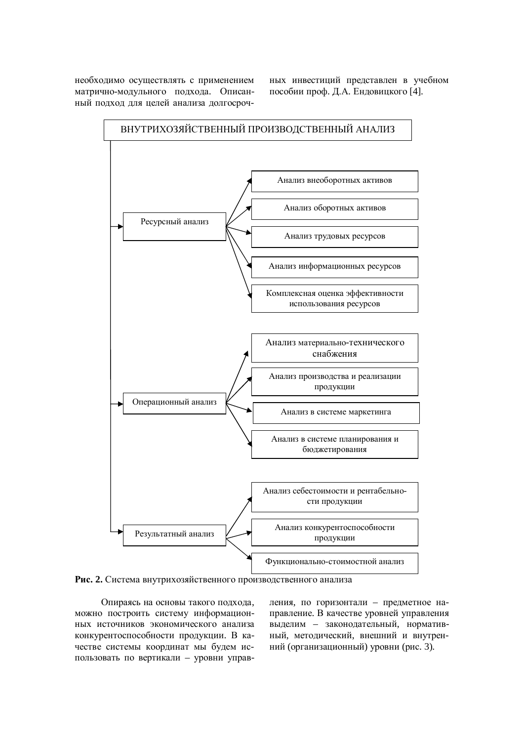необходимо осуществлять с применением матрично-модульного подхода. Описанный полхол лля нелей анализа лолгосрочных инвестиций представлен в учебном пособии проф. Д.А. Ендовицкого [4].



Рис. 2. Система внутрихозяйственного производственного анализа

Опираясь на основы такого подхода. можно построить систему информационных источников экономического анализа конкурентоспособности продукции. В качестве системы координат мы будем использовать по вертикали – уровни управления, по горизонтали – предметное направление. В качестве уровней управления выделим – законодательный, нормативный, методический, внешний и внутренний (организационный) уровни (рис. 3).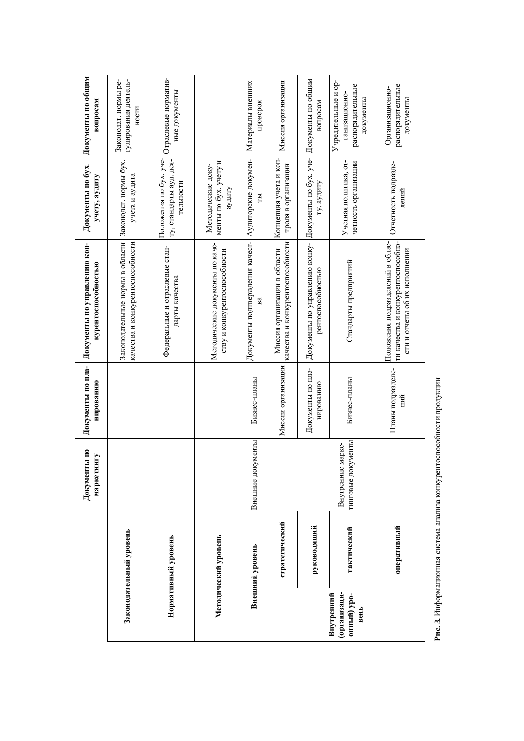|                                                  |                         | Документы по<br>маркетингу              | Документы по пла-<br>нированию | Документы по управлению кон-<br>курентоспособностью                                                    | Документы по бух.<br>учету, аудиту                             | Документы по общим<br>вопросам                                        |
|--------------------------------------------------|-------------------------|-----------------------------------------|--------------------------------|--------------------------------------------------------------------------------------------------------|----------------------------------------------------------------|-----------------------------------------------------------------------|
|                                                  | Законодательный уровень |                                         |                                | Законодательные нормы в области<br>качества и конкурентоспособности                                    | Законодат. нормы бух.<br>учета и аудита                        | гулирования деятель-<br>Законодат. нормы ре-<br>ности                 |
|                                                  | Нормативный уровень     |                                         |                                | Федеральные и отраслевые стан-<br>дарты качества                                                       | Положения по бух. уче-<br>ту, стандарты ауд. дея-<br>тельности | Отраслевые норматив-<br>ные документы                                 |
|                                                  | Методический уровень    |                                         |                                | Методические документы по каче-<br>ству и конкурентоспособности                                        | менты по бух. учету и<br>Методические доку-<br>аудиту          |                                                                       |
|                                                  | Внешний уровень         | Внешние документы                       | Бизнес-планы                   | Документы подтверждения качест-<br>Вâ                                                                  | Аудиторские докумен-<br>E                                      | Материалы внешних<br>проверок                                         |
|                                                  | стратегический          |                                         | Миссия организации             | качества и конкурентоспособности<br>Миссия организации в области                                       | Концепция учета и кон-<br>троля в организации                  | Миссия организации                                                    |
|                                                  | руководящий             |                                         | Документы по пла-<br>нированию | Документы по управлению конку-<br>рентоспособностью                                                    | Документы по бух. уче- Документы по общим<br>гу, аудиту        | вопросам                                                              |
| организаци-<br>Внутренний<br>онный) уро-<br>вень | тактический             | гинговые документы<br>Внутренние марке- | Бизнес-планы                   | Стандарты предприятий                                                                                  | Учетная политика, от-<br>четность организации                  | Учредительные и ор-<br>распорядительные<br>ганизационно-<br>документы |
|                                                  | оперативный             |                                         | Планы подразделе-<br>ΗЙ        | Положения подразделений в облас-<br>ти качества и конкурентоспособно-<br>сти и отчеты об их исполнении | Отчетность подразде-<br>лений                                  | распорядительные<br>Организационно-<br>документы                      |

Рис. 3. Информационная система анализа конкурентоспособности продукции Рис. 3. Информационная система анализа конкурентоспособности продукции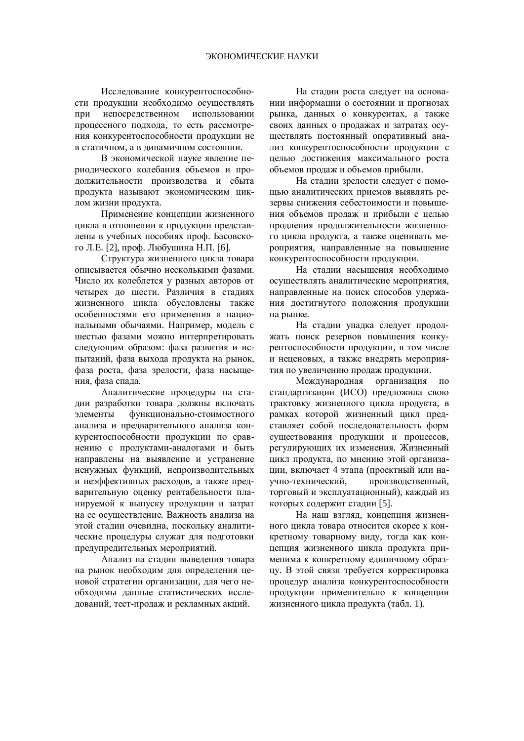Исследование конкурентоспособности продукции необходимо осуществлять при непосредственном использовании процессного подхода, то есть рассмотрения конкурентоспособности продукции не в статичном, а в динамичном состоянии.

В экономической науке явление периодического колебания объемов и проиолжительности произволства и сбыта продукта называют экономическим циклом жизни продукта.

Применение концепции жизненного цикла в отношении к продукции представлены в учебных пособиях проф. Басовского Л.Е. [2], проф. Любушина Н.П. [6].

Структура жизненного цикла товара описывается обычно несколькими фазами. Число их колеблется у разных авторов от четырех до шести. Различия в стадиях жизненного цикла обусловлены также особенностями его применения и национальными обычаями. Например, модель с шестью фазами можно интерпретировать следующим образом: фаза развития и испытаний, фаза выхода продукта на рынок, фаза роста, фаза зрелости, фаза насыщения, фаза спада.

Аналитические процедуры на стадии разработки товара должны включать элементы функционально-стоимостного анализа и предварительного анализа конкурентоспособности продукции по сравнению с продуктами-аналогами и быть направлены на выявление и устранение ненужных функций, непроизводительных и неэффективных расходов, а также предварительную оценку рентабельности планируемой к выпуску продукции и затрат на ее осуществление. Важность анализа на этой сталии очевилна, поскольку аналитические процедуры служат для подготовки предупредительных мероприятий.

Анализ на стадии выведения товара на рынок необходим для определения ценовой стратегии организации, для чего необходимы данные статистических исследований, тест-продаж и рекламных акций.

На стадии роста следует на основании информации о состоянии и прогнозах рынка, данных о конкурентах, а также своих данных о продажах и затратах осуществлять постоянный оперативный анализ конкурентоспособности продукции с целью достижения максимального роста объемов продаж и объемов прибыли.

На сталии зрелости следует с помощью аналитических приемов выявлять резервы снижения себестоимости и повышения объемов продаж и прибыли с целью продления продолжительности жизненного цикла продукта, а также оценивать мероприятия, направленные на повышение конкурентоспособности продукции.

На сталии насышения необхолимо осуществлять аналитические мероприятия, направленные на поиск способов удержания достигнутого положения продукции на рынке.

На стадии упадка следует продолжать поиск резервов повышения конкурентоспособности продукции, в том числе и неценовых, а также внедрять мероприятия по увеличению продаж продукции.

Международная организация по стандартизации (ИСО) предложила свою трактовку жизненного цикла продукта, в рамках которой жизненный цикл представляет собой последовательность форм существования продукции и процессов, регулирующих их изменения. Жизненный цикл продукта, по мнению этой организации, включает 4 этапа (проектный или научно-технический, производственный, торговый и эксплуатационный), каждый из которых содержит стадии [5].

На наш взгляд, концепция жизненного цикла товара относится скорее к конкретному товарному виду, тогда как концепция жизненного цикла продукта применима к конкретному единичному образцу. В этой связи требуется корректировка процедур анализа конкурентоспособности продукции применительно к концепции жизненного цикла продукта (табл. 1).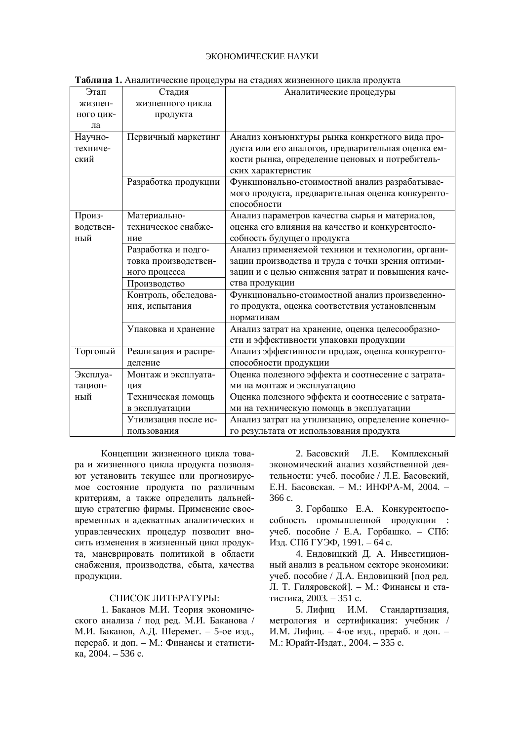#### ЭКОНОМИЧЕСКИЕ НАУКИ

|           |                      | $\mathbf{m}$ as a miximum rectific inport $\mathbf{m}$ , por ma crazimum missicalitor o grifficial inport from |
|-----------|----------------------|----------------------------------------------------------------------------------------------------------------|
| Этап      | Стадия               | Аналитические процедуры                                                                                        |
| жизнен-   | жизненного цикла     |                                                                                                                |
| ного цик- | продукта             |                                                                                                                |
| ла        |                      |                                                                                                                |
| Научно-   | Первичный маркетинг  | Анализ конъюнктуры рынка конкретного вида про-                                                                 |
| техниче-  |                      | дукта или его аналогов, предварительная оценка ем-                                                             |
| ский      |                      | кости рынка, определение ценовых и потребитель-                                                                |
|           |                      | ских характеристик                                                                                             |
|           | Разработка продукции | Функционально-стоимостной анализ разрабатывае-                                                                 |
|           |                      | мого продукта, предварительная оценка конкуренто-                                                              |
|           |                      | способности                                                                                                    |
| Произ-    | Материально-         | Анализ параметров качества сырья и материалов,                                                                 |
| водствен- | техническое снабже-  | оценка его влияния на качество и конкурентоспо-                                                                |
| ный       | ние                  | собность будущего продукта                                                                                     |
|           | Разработка и подго-  | Анализ применяемой техники и технологии, органи-                                                               |
|           | товка производствен- | зации производства и труда с точки зрения оптими-                                                              |
|           | ного процесса        | зации и с целью снижения затрат и повышения каче-                                                              |
|           | Производство         | ства продукции                                                                                                 |
|           | Контроль, обследова- | Функционально-стоимостной анализ произведенно-                                                                 |
|           | ния, испытания       | го продукта, оценка соответствия установленным                                                                 |
|           |                      | нормативам                                                                                                     |
|           | Упаковка и хранение  | Анализ затрат на хранение, оценка целесообразно-                                                               |
|           |                      | сти и эффективности упаковки продукции                                                                         |
| Торговый  | Реализация и распре- | Анализ эффективности продаж, оценка конкуренто-                                                                |
|           | деление              | способности продукции                                                                                          |
| Эксплуа-  | Монтаж и эксплуата-  | Оценка полезного эффекта и соотнесение с затрата-                                                              |
| тацион-   | ЦИЯ                  | ми на монтаж и эксплуатацию                                                                                    |
| ный       | Техническая помощь   | Оценка полезного эффекта и соотнесение с затрата-                                                              |
|           | в эксплуатации       | ми на техническую помощь в эксплуатации                                                                        |
|           | Утилизация после ис- | Анализ затрат на утилизацию, определение конечно-                                                              |
|           | пользования          | го результата от использования продукта                                                                        |

**Tаблина 1.** Аналитические процелуры на сталиях жизненного шикла пролукта

Концепции жизненного цикла товара и жизненного цикла продукта позволяют установить текущее или прогнозируемое состояние продукта по различным критериям, а также определить дальнейшую стратегию фирмы. Применение своевременных и адекватных аналитических и управленческих процедур позволит вносить изменения в жизненный цикл продукта, маневрировать политикой в области снабжения, производства, сбыта, качества продукции.

#### СПИСОК ЛИТЕРАТУРЫ:

1. Баканов М.И. Теория экономического анализа / под ред. М.И. Баканова / М.И. Баканов, А.Д. Шеремет. – 5-ое изд., перераб. и доп. – М.: Финансы и статисти- $\overline{\text{ka}}$ , 2004. – 536 c.

2. Басовский Л.Е. Комплексный экономический анализ хозяйственной деятельности: учеб. пособие / Л.Е. Басовский, Е.Н. Басовская. – М.: ИНФРА-М, 2004. – 366 c.

3. Горбашко Е.А. Конкурентоспособность промышленной продукции : үчеб. пособие / Е.А. Горбашко. – СПб: Изд. СПб ГУЭФ, 1991. – 64 с.

4. Ендовицкий Д. А. Инвестиционный анализ в реальном секторе экономики: учеб. пособие / Д.А. Ендовицкий [под ред. Л. Т. Гиляровской]. – М.: Финансы и статистика, 2003. – 351 с.

5. Лифиц И.М. Стандартизация, метрология и сертификация: учебник / И.М. Лифиц. – 4-ое изд., прераб. и доп. – М.: Юрайт-Издат., 2004. – 335 с.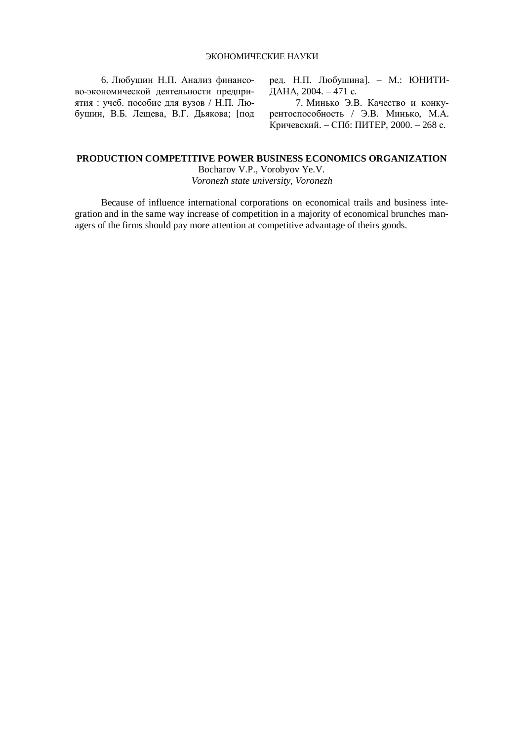6. Любушин Н.П. Анализ финансово-экономической деятельности предприятия: учеб. пособие для вузов / Н.П. Любушин, В.Б. Лещева, В.Г. Дьякова; [под ред. Н.П. Любушина]. – М.: ЮНИТИ- $\hat{A}$ AHA, 2004. – 471 c.

7. Минько Э.В. Качество и конкурентоспособность / Э.В. Минько, М.А.  $K$ ричевский. – СПб: ПИТЕР, 2000. – 268 с.

## **PRODUCTION COMPETITIVE POWER BUSINESS ECONOMICS ORGANIZATION**

Bocharov V.P., Vorobyov Ye.V. *Voronezh state university, Voronezh* 

Because of influence international corporations on economical trails and business integration and in the same way increase of competition in a majority of economical brunches managers of the firms should pay more attention at competitive advantage of theirs goods.